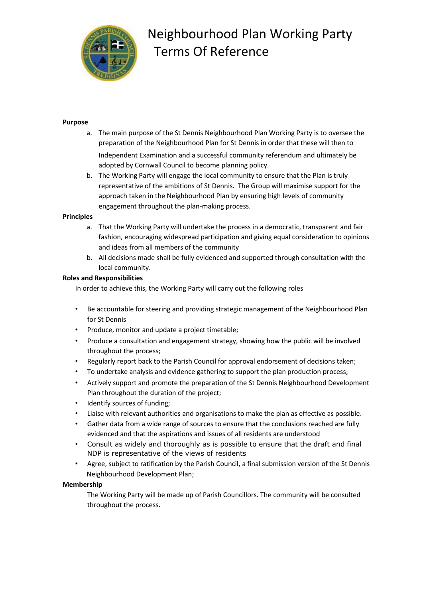

# Neighbourhood Plan Working Party Terms Of Reference

## **Purpose**

- a. The main purpose of the St Dennis Neighbourhood Plan Working Party is to oversee the preparation of the Neighbourhood Plan for St Dennis in order that these will then to Independent Examination and a successful community referendum and ultimately be adopted by Cornwall Council to become planning policy.
- b. The Working Party will engage the local community to ensure that the Plan is truly representative of the ambitions of St Dennis. The Group will maximise support for the approach taken in the Neighbourhood Plan by ensuring high levels of community engagement throughout the plan-making process.

## **Principles**

- a. That the Working Party will undertake the process in a democratic, transparent and fair fashion, encouraging widespread participation and giving equal consideration to opinions and ideas from all members of the community
- b. All decisions made shall be fully evidenced and supported through consultation with the local community.

## **Roles and Responsibilities**

In order to achieve this, the Working Party will carry out the following roles

- Be accountable for steering and providing strategic management of the Neighbourhood Plan for St Dennis
- Produce, monitor and update a project timetable;
- Produce a consultation and engagement strategy, showing how the public will be involved throughout the process;
- Regularly report back to the Parish Council for approval endorsement of decisions taken;
- To undertake analysis and evidence gathering to support the plan production process;
- Actively support and promote the preparation of the St Dennis Neighbourhood Development Plan throughout the duration of the project;
- Identify sources of funding;
- Liaise with relevant authorities and organisations to make the plan as effective as possible.
- Gather data from a wide range of sources to ensure that the conclusions reached are fully evidenced and that the aspirations and issues of all residents are understood
- Consult as widely and thoroughly as is possible to ensure that the draft and final NDP is representative of the views of residents
- Agree, subject to ratification by the Parish Council, a final submission version of the St Dennis Neighbourhood Development Plan;

## **Membership**

The Working Party will be made up of Parish Councillors. The community will be consulted throughout the process.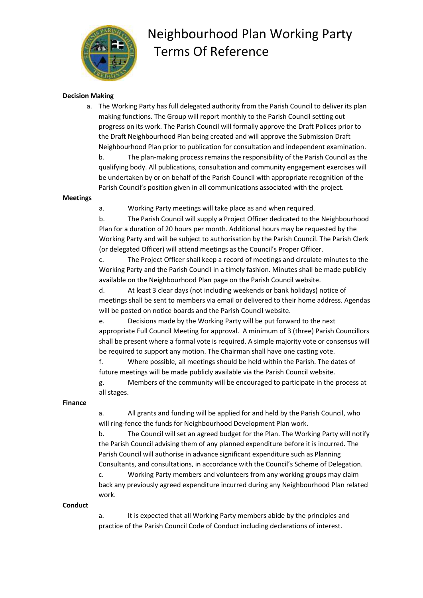

## Neighbourhood Plan Working Party Terms Of Reference

### **Decision Making**

a. The Working Party has full delegated authority from the Parish Council to deliver its plan making functions. The Group will report monthly to the Parish Council setting out progress on its work. The Parish Council will formally approve the Draft Polices prior to the Draft Neighbourhood Plan being created and will approve the Submission Draft Neighbourhood Plan prior to publication for consultation and independent examination.

b. The plan-making process remains the responsibility of the Parish Council as the qualifying body. All publications, consultation and community engagement exercises will be undertaken by or on behalf of the Parish Council with appropriate recognition of the Parish Council's position given in all communications associated with the project.

#### **Meetings**

a. Working Party meetings will take place as and when required.

b. The Parish Council will supply a Project Officer dedicated to the Neighbourhood Plan for a duration of 20 hours per month. Additional hours may be requested by the Working Party and will be subject to authorisation by the Parish Council. The Parish Clerk (or delegated Officer) will attend meetings as the Council's Proper Officer.

c. The Project Officer shall keep a record of meetings and circulate minutes to the Working Party and the Parish Council in a timely fashion. Minutes shall be made publicly available on the Neighbourhood Plan page on the Parish Council website.

d. At least 3 clear days (not including weekends or bank holidays) notice of meetings shall be sent to members via email or delivered to their home address. Agendas will be posted on notice boards and the Parish Council website.

e. Decisions made by the Working Party will be put forward to the next appropriate Full Council Meeting for approval. A minimum of 3 (three) Parish Councillors shall be present where a formal vote is required. A simple majority vote or consensus will be required to support any motion. The Chairman shall have one casting vote.

f. Where possible, all meetings should be held within the Parish. The dates of future meetings will be made publicly available via the Parish Council website.

g. Members of the community will be encouraged to participate in the process at all stages.

### **Finance**

a. All grants and funding will be applied for and held by the Parish Council, who will ring-fence the funds for Neighbourhood Development Plan work.

b. The Council will set an agreed budget for the Plan. The Working Party will notify the Parish Council advising them of any planned expenditure before it is incurred. The Parish Council will authorise in advance significant expenditure such as Planning Consultants, and consultations, in accordance with the Council's Scheme of Delegation.

c. Working Party members and volunteers from any working groups may claim back any previously agreed expenditure incurred during any Neighbourhood Plan related work.

#### **Conduct**

a. It is expected that all Working Party members abide by the principles and practice of the Parish Council Code of Conduct including declarations of interest.